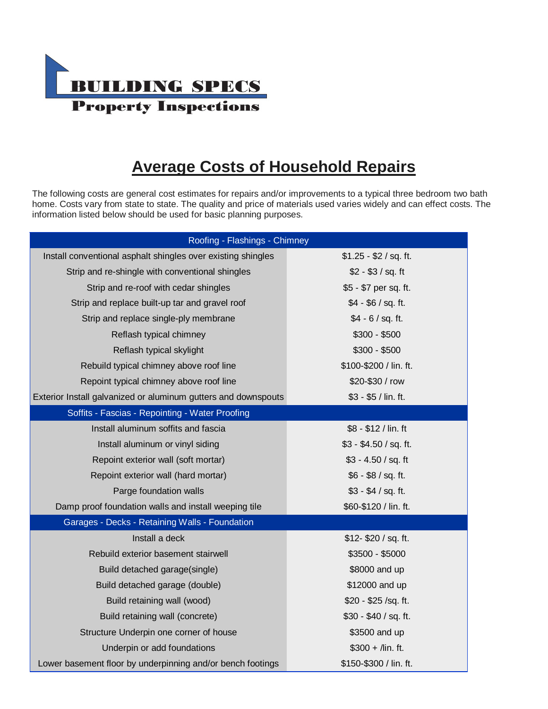

## **Average Costs of Household Repairs**

The following costs are general cost estimates for repairs and/or improvements to a typical three bedroom two bath home. Costs vary from state to state. The quality and price of materials used varies widely and can effect costs. The information listed below should be used for basic planning purposes.

| Roofing - Flashings - Chimney                                  |                        |  |  |
|----------------------------------------------------------------|------------------------|--|--|
| Install conventional asphalt shingles over existing shingles   | $$1.25 - $2 / sq. ft.$ |  |  |
| Strip and re-shingle with conventional shingles                | $$2 - $3 / sq. ft$     |  |  |
| Strip and re-roof with cedar shingles                          | \$5 - \$7 per sq. ft.  |  |  |
| Strip and replace built-up tar and gravel roof                 | $$4 - $6 / sq. ft.$    |  |  |
| Strip and replace single-ply membrane                          | $$4 - 6 / sq. ft.$     |  |  |
| Reflash typical chimney                                        | $$300 - $500$          |  |  |
| Reflash typical skylight                                       | $$300 - $500$          |  |  |
| Rebuild typical chimney above roof line                        | \$100-\$200 / lin. ft. |  |  |
| Repoint typical chimney above roof line                        | \$20-\$30 / row        |  |  |
| Exterior Install galvanized or aluminum gutters and downspouts | $$3 - $5 /$ lin. ft.   |  |  |
| Soffits - Fascias - Repointing - Water Proofing                |                        |  |  |
| Install aluminum soffits and fascia                            | \$8 - \$12 / lin. ft   |  |  |
| Install aluminum or vinyl siding                               | $$3 - $4.50 / sq.$ ft. |  |  |
| Repoint exterior wall (soft mortar)                            | $$3 - 4.50 / sq.$ ft   |  |  |
| Repoint exterior wall (hard mortar)                            | \$6 - \$8 / sq. ft.    |  |  |
| Parge foundation walls                                         | $$3 - $4 / sq. ft.$    |  |  |
| Damp proof foundation walls and install weeping tile           | \$60-\$120 / lin. ft.  |  |  |
| Garages - Decks - Retaining Walls - Foundation                 |                        |  |  |
| Install a deck                                                 | $$12 - $20 / sq. ft.$  |  |  |
| Rebuild exterior basement stairwell                            | $$3500 - $5000$        |  |  |
| Build detached garage(single)                                  | \$8000 and up          |  |  |
| Build detached garage (double)                                 | \$12000 and up         |  |  |
| Build retaining wall (wood)                                    | \$20 - \$25 /sq. ft.   |  |  |
| Build retaining wall (concrete)                                | \$30 - \$40 / sq. ft.  |  |  |
| Structure Underpin one corner of house                         | \$3500 and up          |  |  |
| Underpin or add foundations                                    | $$300 +$ /lin. ft.     |  |  |
| Lower basement floor by underpinning and/or bench footings     | \$150-\$300 / lin. ft. |  |  |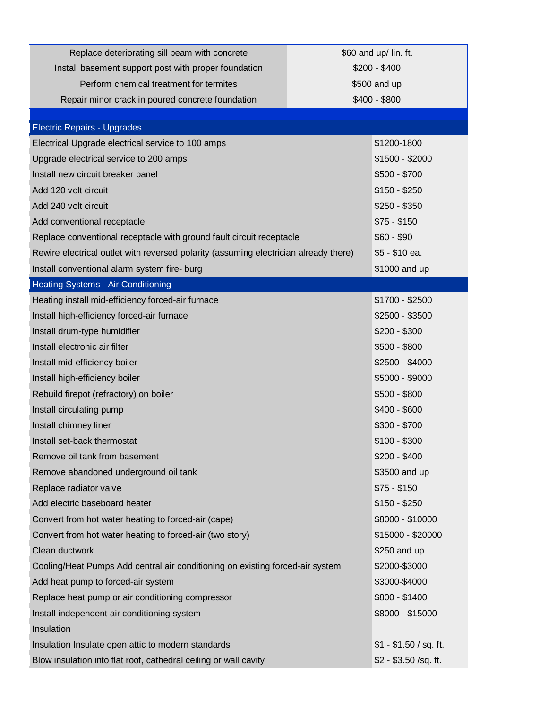| Replace deteriorating sill beam with concrete                                        | \$60 and up/ lin. ft. |                        |
|--------------------------------------------------------------------------------------|-----------------------|------------------------|
| Install basement support post with proper foundation                                 |                       | $$200 - $400$          |
| Perform chemical treatment for termites                                              | \$500 and up          |                        |
| Repair minor crack in poured concrete foundation                                     |                       | $$400 - $800$          |
|                                                                                      |                       |                        |
| Electric Repairs - Upgrades                                                          |                       |                        |
| Electrical Upgrade electrical service to 100 amps                                    |                       | \$1200-1800            |
| Upgrade electrical service to 200 amps                                               |                       | \$1500 - \$2000        |
| Install new circuit breaker panel                                                    |                       | $$500 - $700$          |
| Add 120 volt circuit                                                                 |                       | $$150 - $250$          |
| Add 240 volt circuit                                                                 |                       | $$250 - $350$          |
| Add conventional receptacle                                                          |                       | $$75 - $150$           |
| Replace conventional receptacle with ground fault circuit receptacle                 |                       | $$60 - $90$            |
| Rewire electrical outlet with reversed polarity (assuming electrician already there) |                       | \$5 - \$10 ea.         |
| Install conventional alarm system fire- burg                                         |                       | \$1000 and up          |
| <b>Heating Systems - Air Conditioning</b>                                            |                       |                        |
| Heating install mid-efficiency forced-air furnace                                    |                       | \$1700 - \$2500        |
| Install high-efficiency forced-air furnace                                           |                       | \$2500 - \$3500        |
| Install drum-type humidifier                                                         |                       | $$200 - $300$          |
| Install electronic air filter                                                        |                       | $$500 - $800$          |
| Install mid-efficiency boiler                                                        |                       | \$2500 - \$4000        |
| Install high-efficiency boiler                                                       |                       | \$5000 - \$9000        |
| Rebuild firepot (refractory) on boiler                                               |                       | $$500 - $800$          |
| Install circulating pump                                                             |                       | \$400 - \$600          |
| Install chimney liner                                                                |                       | $$300 - $700$          |
| Install set-back thermostat                                                          |                       | $$100 - $300$          |
| Remove oil tank from basement                                                        |                       | $$200 - $400$          |
| Remove abandoned underground oil tank                                                |                       | \$3500 and up          |
| Replace radiator valve                                                               |                       | $$75 - $150$           |
| Add electric baseboard heater                                                        |                       | $$150 - $250$          |
| Convert from hot water heating to forced-air (cape)                                  |                       | \$8000 - \$10000       |
| Convert from hot water heating to forced-air (two story)                             |                       | \$15000 - \$20000      |
| Clean ductwork                                                                       |                       | \$250 and up           |
| Cooling/Heat Pumps Add central air conditioning on existing forced-air system        |                       | \$2000-\$3000          |
| Add heat pump to forced-air system                                                   |                       | \$3000-\$4000          |
| Replace heat pump or air conditioning compressor                                     |                       | \$800 - \$1400         |
| Install independent air conditioning system                                          |                       | \$8000 - \$15000       |
| Insulation                                                                           |                       |                        |
| Insulation Insulate open attic to modern standards                                   |                       | $$1 - $1.50 / sq.$ ft. |
| Blow insulation into flat roof, cathedral ceiling or wall cavity                     |                       | $$2 - $3.50 / sq.$ ft. |